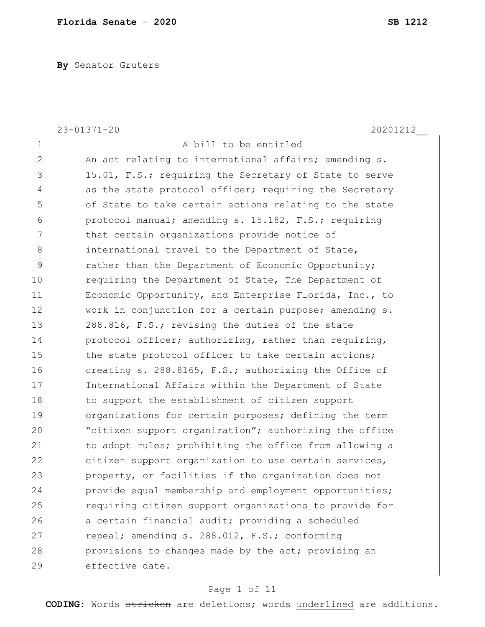**By** Senator Gruters

|                | $23 - 01371 - 20$<br>20201212                          |
|----------------|--------------------------------------------------------|
| $\mathbf 1$    | A bill to be entitled                                  |
| $\overline{2}$ | An act relating to international affairs; amending s.  |
| 3              | 15.01, F.S.; requiring the Secretary of State to serve |
| $\overline{4}$ | as the state protocol officer; requiring the Secretary |
| 5              | of State to take certain actions relating to the state |
| 6              | protocol manual; amending s. 15.182, F.S.; requiring   |
| 7              | that certain organizations provide notice of           |
| 8              | international travel to the Department of State,       |
| 9              | rather than the Department of Economic Opportunity;    |
| 10             | requiring the Department of State, The Department of   |
| 11             | Economic Opportunity, and Enterprise Florida, Inc., to |
| 12             | work in conjunction for a certain purpose; amending s. |
| 13             | 288.816, F.S.; revising the duties of the state        |
| 14             | protocol officer; authorizing, rather than requiring,  |
| 15             | the state protocol officer to take certain actions;    |
| 16             | creating s. 288.8165, F.S.; authorizing the Office of  |
| 17             | International Affairs within the Department of State   |
| 18             | to support the establishment of citizen support        |
| 19             | organizations for certain purposes; defining the term  |
| 20             | "citizen support organization"; authorizing the office |
| 21             | to adopt rules; prohibiting the office from allowing a |
| 22             | citizen support organization to use certain services,  |
| 23             | property, or facilities if the organization does not   |
| 24             | provide equal membership and employment opportunities; |
| 25             | requiring citizen support organizations to provide for |
| 26             | a certain financial audit; providing a scheduled       |
| 27             | repeal; amending s. 288.012, F.S.; conforming          |
| 28             | provisions to changes made by the act; providing an    |
| 29             | effective date.                                        |

# Page 1 of 11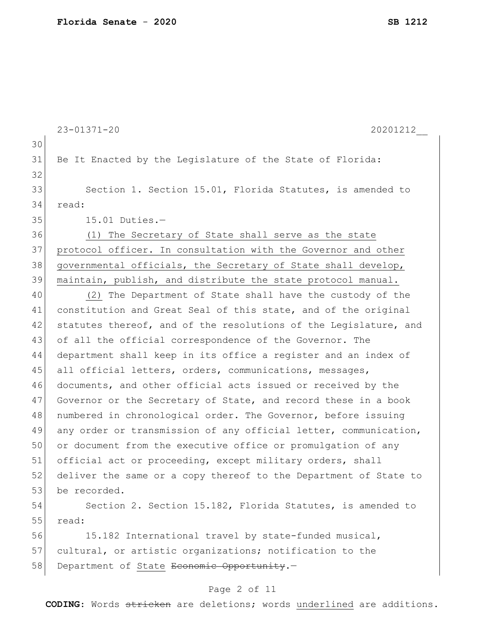|    | $23 - 01371 - 20$<br>20201212                                    |
|----|------------------------------------------------------------------|
| 30 |                                                                  |
| 31 | Be It Enacted by the Legislature of the State of Florida:        |
| 32 |                                                                  |
| 33 | Section 1. Section 15.01, Florida Statutes, is amended to        |
| 34 | read:                                                            |
| 35 | $15.01$ Duties.-                                                 |
| 36 | The Secretary of State shall serve as the state<br>(1)           |
| 37 | protocol officer. In consultation with the Governor and other    |
| 38 | governmental officials, the Secretary of State shall develop,    |
| 39 | maintain, publish, and distribute the state protocol manual.     |
| 40 | (2) The Department of State shall have the custody of the        |
| 41 | constitution and Great Seal of this state, and of the original   |
| 42 | statutes thereof, and of the resolutions of the Legislature, and |
| 43 | of all the official correspondence of the Governor. The          |
| 44 | department shall keep in its office a register and an index of   |
| 45 | all official letters, orders, communications, messages,          |
| 46 | documents, and other official acts issued or received by the     |
| 47 | Governor or the Secretary of State, and record these in a book   |
| 48 | numbered in chronological order. The Governor, before issuing    |
| 49 | any order or transmission of any official letter, communication, |
| 50 | or document from the executive office or promulgation of any     |
| 51 | official act or proceeding, except military orders, shall        |
| 52 | deliver the same or a copy thereof to the Department of State to |
| 53 | be recorded.                                                     |
| 54 | Section 2. Section 15.182, Florida Statutes, is amended to       |
| 55 | read:                                                            |
| 56 | 15.182 International travel by state-funded musical,             |
| 57 | cultural, or artistic organizations; notification to the         |
| 58 | Department of State Economic Opportunity.-                       |
|    |                                                                  |

# Page 2 of 11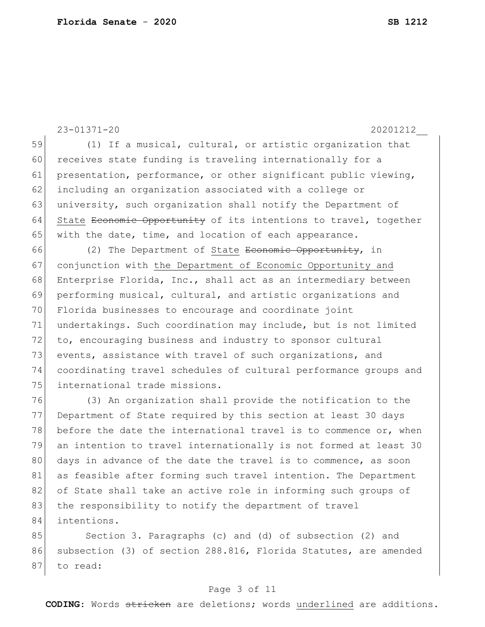23-01371-20 20201212\_\_ 59 (1) If a musical, cultural, or artistic organization that 60 receives state funding is traveling internationally for a 61 presentation, performance, or other significant public viewing, 62 including an organization associated with a college or 63 university, such organization shall notify the Department of 64 State <del>Economic Opportunity</del> of its intentions to travel, together 65 with the date, time, and location of each appearance. 66 (2) The Department of State <del>Economic Opportunity</del>, in 67 conjunction with the Department of Economic Opportunity and 68 Enterprise Florida, Inc., shall act as an intermediary between 69 performing musical, cultural, and artistic organizations and 70 Florida businesses to encourage and coordinate joint 71 undertakings. Such coordination may include, but is not limited 72 to, encouraging business and industry to sponsor cultural 73 events, assistance with travel of such organizations, and 74 coordinating travel schedules of cultural performance groups and 75 international trade missions. 76 (3) An organization shall provide the notification to the 77 Department of State required by this section at least 30 days 78 before the date the international travel is to commence or, when 79 an intention to travel internationally is not formed at least 30 80 days in advance of the date the travel is to commence, as soon 81 as feasible after forming such travel intention. The Department 82 of State shall take an active role in informing such groups of 83 the responsibility to notify the department of travel 84 intentions. 85 Section 3. Paragraphs (c) and (d) of subsection (2) and 86 subsection (3) of section 288.816, Florida Statutes, are amended

#### 87 to read:

#### Page 3 of 11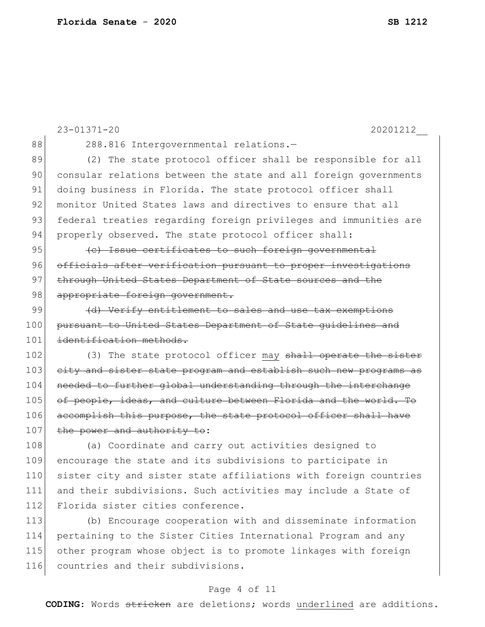|     | $23 - 01371 - 20$<br>20201212                                    |
|-----|------------------------------------------------------------------|
| 88  | 288.816 Intergovernmental relations.-                            |
| 89  | (2) The state protocol officer shall be responsible for all      |
| 90  | consular relations between the state and all foreign governments |
| 91  | doing business in Florida. The state protocol officer shall      |
| 92  | monitor United States laws and directives to ensure that all     |
| 93  | federal treaties regarding foreign privileges and immunities are |
| 94  | properly observed. The state protocol officer shall:             |
| 95  | (e) Issue certificates to such foreign governmental              |
| 96  | officials after verification pursuant to proper investigations   |
| 97  | through United States Department of State sources and the        |
| 98  | appropriate foreign government.                                  |
| 99  | (d) Verify entitlement to sales and use tax exemptions           |
| 100 | pursuant to United States Department of State quidelines and     |
| 101 | identification methods.                                          |
| 102 | (3) The state protocol officer may shall operate the sister      |
| 103 | city and sister state program and establish such new programs as |
| 104 | needed to further global understanding through the interchange   |
| 105 | of people, ideas, and culture between Florida and the world. To  |
| 106 | accomplish this purpose, the state protocol officer shall have   |
| 107 | the power and authority to:                                      |
| 108 | (a) Coordinate and carry out activities designed to              |
| 109 | encourage the state and its subdivisions to participate in       |
| 110 | sister city and sister state affiliations with foreign countries |
| 111 | and their subdivisions. Such activities may include a State of   |
| 112 | Florida sister cities conference.                                |
| 113 | (b) Encourage cooperation with and disseminate information       |
| 114 | pertaining to the Sister Cities International Program and any    |
| 115 | other program whose object is to promote linkages with foreign   |
| 116 | countries and their subdivisions.                                |

### Page 4 of 11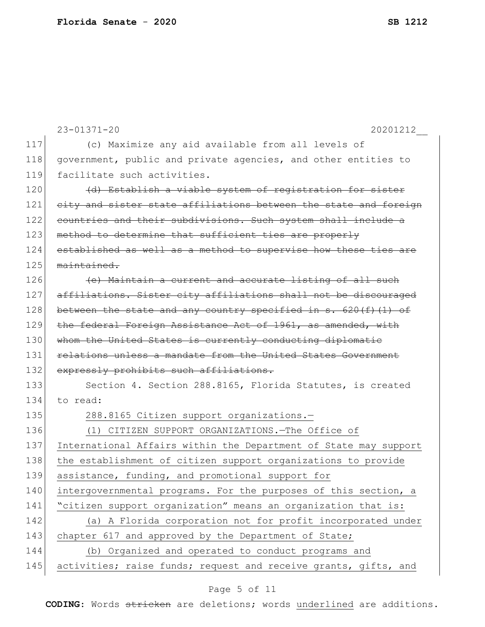|     | $23 - 01371 - 20$<br>20201212                                     |
|-----|-------------------------------------------------------------------|
| 117 | (c) Maximize any aid available from all levels of                 |
| 118 | government, public and private agencies, and other entities to    |
| 119 | facilitate such activities.                                       |
| 120 | (d) Establish a viable system of registration for sister          |
| 121 | city and sister state affiliations between the state and foreign  |
| 122 | countries and their subdivisions. Such system shall include a     |
| 123 | method to determine that sufficient ties are properly             |
| 124 | established as well as a method to supervise how these ties are   |
| 125 | maintained.                                                       |
| 126 | (e) Maintain a current and accurate listing of all such           |
| 127 | affiliations. Sister city affiliations shall not be discouraged   |
| 128 | between the state and any country specified in $s. 620(f)$ (1) of |
| 129 | the federal Foreign Assistance Act of 1961, as amended, with      |
| 130 | whom the United States is currently conducting diplomatic         |
| 131 | relations unless a mandate from the United States Government      |
| 132 | expressly prohibits such affiliations.                            |
| 133 | Section 4. Section 288.8165, Florida Statutes, is created         |
| 134 | to read:                                                          |
| 135 | 288.8165 Citizen support organizations.-                          |
| 136 | (1) CITIZEN SUPPORT ORGANIZATIONS. - The Office of                |
| 137 | International Affairs within the Department of State may support  |
| 138 | the establishment of citizen support organizations to provide     |
| 139 | assistance, funding, and promotional support for                  |
| 140 | intergovernmental programs. For the purposes of this section, a   |
| 141 | "citizen support organization" means an organization that is:     |
| 142 | (a) A Florida corporation not for profit incorporated under       |
| 143 | chapter 617 and approved by the Department of State;              |
| 144 | (b) Organized and operated to conduct programs and                |
| 145 | activities; raise funds; request and receive grants, gifts, and   |

# Page 5 of 11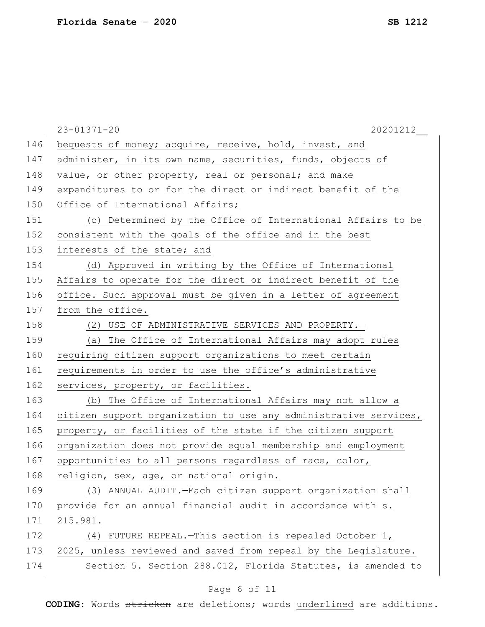|     | $23 - 01371 - 20$<br>20201212                                    |
|-----|------------------------------------------------------------------|
| 146 | bequests of money; acquire, receive, hold, invest, and           |
| 147 | administer, in its own name, securities, funds, objects of       |
| 148 | value, or other property, real or personal; and make             |
| 149 | expenditures to or for the direct or indirect benefit of the     |
| 150 | Office of International Affairs;                                 |
| 151 | (c) Determined by the Office of International Affairs to be      |
| 152 | consistent with the goals of the office and in the best          |
| 153 | interests of the state; and                                      |
| 154 | (d) Approved in writing by the Office of International           |
| 155 | Affairs to operate for the direct or indirect benefit of the     |
| 156 | office. Such approval must be given in a letter of agreement     |
| 157 | from the office.                                                 |
| 158 | (2) USE OF ADMINISTRATIVE SERVICES AND PROPERTY.-                |
| 159 | (a) The Office of International Affairs may adopt rules          |
| 160 | requiring citizen support organizations to meet certain          |
| 161 | requirements in order to use the office's administrative         |
| 162 | services, property, or facilities.                               |
| 163 | (b) The Office of International Affairs may not allow a          |
| 164 | citizen support organization to use any administrative services, |
| 165 | property, or facilities of the state if the citizen support      |
| 166 | organization does not provide equal membership and employment    |
| 167 | opportunities to all persons regardless of race, color,          |
| 168 | religion, sex, age, or national origin.                          |
| 169 | (3) ANNUAL AUDIT. - Each citizen support organization shall      |
| 170 | provide for an annual financial audit in accordance with s.      |
| 171 | 215.981.                                                         |
| 172 | (4) FUTURE REPEAL. - This section is repealed October 1,         |
| 173 | 2025, unless reviewed and saved from repeal by the Legislature.  |
| 174 | Section 5. Section 288.012, Florida Statutes, is amended to      |
|     |                                                                  |

# Page 6 of 11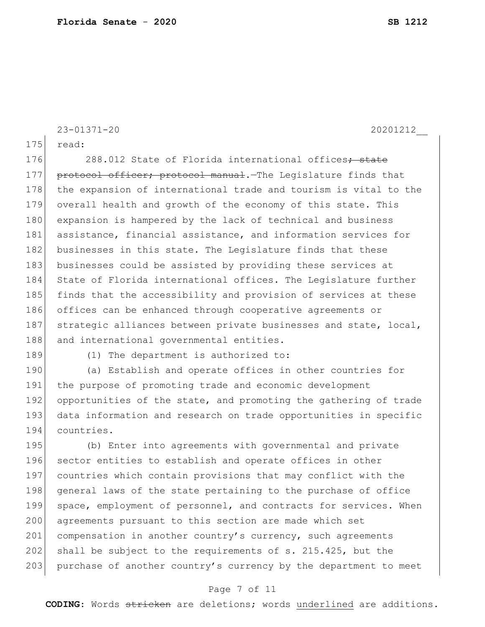```
23-01371-20 20201212__
175 read:
```
176 288.012 State of Florida international offices<del>; state</del> 177 protocol officer; protocol manual. The Legislature finds that 178 the expansion of international trade and tourism is vital to the 179 overall health and growth of the economy of this state. This 180 expansion is hampered by the lack of technical and business 181 assistance, financial assistance, and information services for 182 businesses in this state. The Legislature finds that these 183 businesses could be assisted by providing these services at 184 State of Florida international offices. The Legislature further 185 finds that the accessibility and provision of services at these 186 offices can be enhanced through cooperative agreements or 187 strategic alliances between private businesses and state, local, 188 and international governmental entities.

189 (1) The department is authorized to:

190 (a) Establish and operate offices in other countries for 191 the purpose of promoting trade and economic development 192 opportunities of the state, and promoting the gathering of trade 193 data information and research on trade opportunities in specific 194 countries.

195 (b) Enter into agreements with governmental and private 196 sector entities to establish and operate offices in other 197 countries which contain provisions that may conflict with the 198 general laws of the state pertaining to the purchase of office 199 space, employment of personnel, and contracts for services. When 200 agreements pursuant to this section are made which set 201 compensation in another country's currency, such agreements 202 shall be subject to the requirements of s. 215.425, but the 203 purchase of another country's currency by the department to meet

#### Page 7 of 11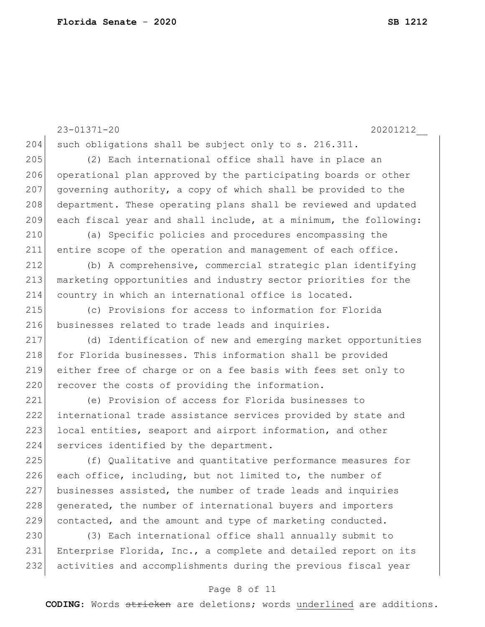23-01371-20 20201212\_\_ 204 such obligations shall be subject only to s. 216.311. 205 (2) Each international office shall have in place an 206 operational plan approved by the participating boards or other 207 governing authority, a copy of which shall be provided to the 208 department. These operating plans shall be reviewed and updated 209 each fiscal year and shall include, at a minimum, the following: 210 (a) Specific policies and procedures encompassing the 211 entire scope of the operation and management of each office. 212 (b) A comprehensive, commercial strategic plan identifying 213 marketing opportunities and industry sector priorities for the 214 country in which an international office is located. 215 (c) Provisions for access to information for Florida 216 businesses related to trade leads and inquiries. 217 (d) Identification of new and emerging market opportunities 218 for Florida businesses. This information shall be provided 219 either free of charge or on a fee basis with fees set only to 220 recover the costs of providing the information. 221 (e) Provision of access for Florida businesses to 222 international trade assistance services provided by state and 223 local entities, seaport and airport information, and other 224 services identified by the department. 225 (f) Qualitative and quantitative performance measures for 226 each office, including, but not limited to, the number of 227 businesses assisted, the number of trade leads and inquiries 228 generated, the number of international buyers and importers 229 contacted, and the amount and type of marketing conducted. 230 (3) Each international office shall annually submit to 231 Enterprise Florida, Inc., a complete and detailed report on its 232 activities and accomplishments during the previous fiscal year

#### Page 8 of 11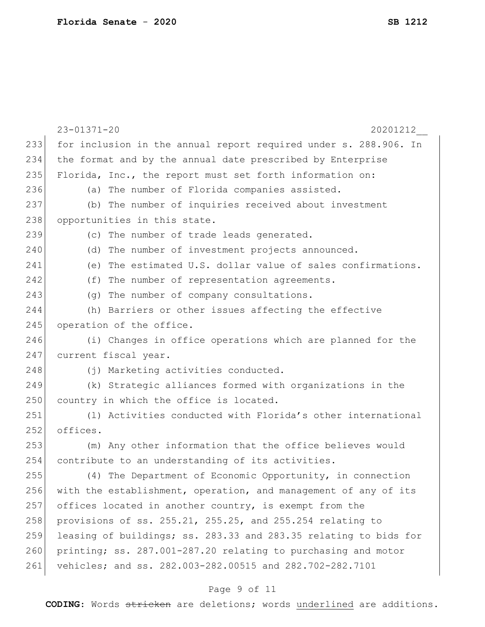|     | $23 - 01371 - 20$<br>20201212                                    |
|-----|------------------------------------------------------------------|
| 233 | for inclusion in the annual report required under s. 288.906. In |
| 234 | the format and by the annual date prescribed by Enterprise       |
| 235 | Florida, Inc., the report must set forth information on:         |
| 236 | (a) The number of Florida companies assisted.                    |
| 237 | (b) The number of inquiries received about investment            |
| 238 | opportunities in this state.                                     |
| 239 | (c) The number of trade leads generated.                         |
| 240 | (d) The number of investment projects announced.                 |
| 241 | (e) The estimated U.S. dollar value of sales confirmations.      |
| 242 | (f) The number of representation agreements.                     |
| 243 | (g) The number of company consultations.                         |
| 244 | (h) Barriers or other issues affecting the effective             |
| 245 | operation of the office.                                         |
| 246 | (i) Changes in office operations which are planned for the       |
| 247 | current fiscal year.                                             |
| 248 | (j) Marketing activities conducted.                              |
| 249 | (k) Strategic alliances formed with organizations in the         |
| 250 | country in which the office is located.                          |
| 251 | (1) Activities conducted with Florida's other international      |
| 252 | offices.                                                         |
| 253 | (m) Any other information that the office believes would         |
| 254 | contribute to an understanding of its activities.                |
| 255 | (4) The Department of Economic Opportunity, in connection        |
| 256 | with the establishment, operation, and management of any of its  |
| 257 | offices located in another country, is exempt from the           |
| 258 | provisions of ss. 255.21, 255.25, and 255.254 relating to        |
| 259 | leasing of buildings; ss. 283.33 and 283.35 relating to bids for |
| 260 | printing; ss. 287.001-287.20 relating to purchasing and motor    |
| 261 | vehicles; and ss. 282.003-282.00515 and 282.702-282.7101         |

# Page 9 of 11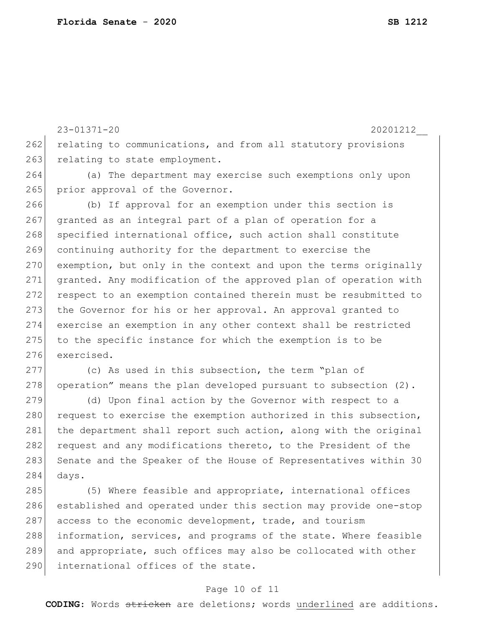23-01371-20 20201212\_\_ 262 relating to communications, and from all statutory provisions 263 relating to state employment. 264 (a) The department may exercise such exemptions only upon 265 | prior approval of the Governor. 266 (b) If approval for an exemption under this section is 267 granted as an integral part of a plan of operation for a 268 specified international office, such action shall constitute 269 continuing authority for the department to exercise the 270 exemption, but only in the context and upon the terms originally 271 granted. Any modification of the approved plan of operation with 272 respect to an exemption contained therein must be resubmitted to 273 the Governor for his or her approval. An approval granted to 274 exercise an exemption in any other context shall be restricted 275 to the specific instance for which the exemption is to be 276 exercised. 277 (c) As used in this subsection, the term "plan of 278 operation" means the plan developed pursuant to subsection  $(2)$ . 279 (d) Upon final action by the Governor with respect to a

280 request to exercise the exemption authorized in this subsection, 281 the department shall report such action, along with the original 282 request and any modifications thereto, to the President of the 283 Senate and the Speaker of the House of Representatives within 30 284 days.

285 (5) Where feasible and appropriate, international offices 286 established and operated under this section may provide one-stop 287 access to the economic development, trade, and tourism 288 information, services, and programs of the state. Where feasible 289 and appropriate, such offices may also be collocated with other 290 international offices of the state.

#### Page 10 of 11